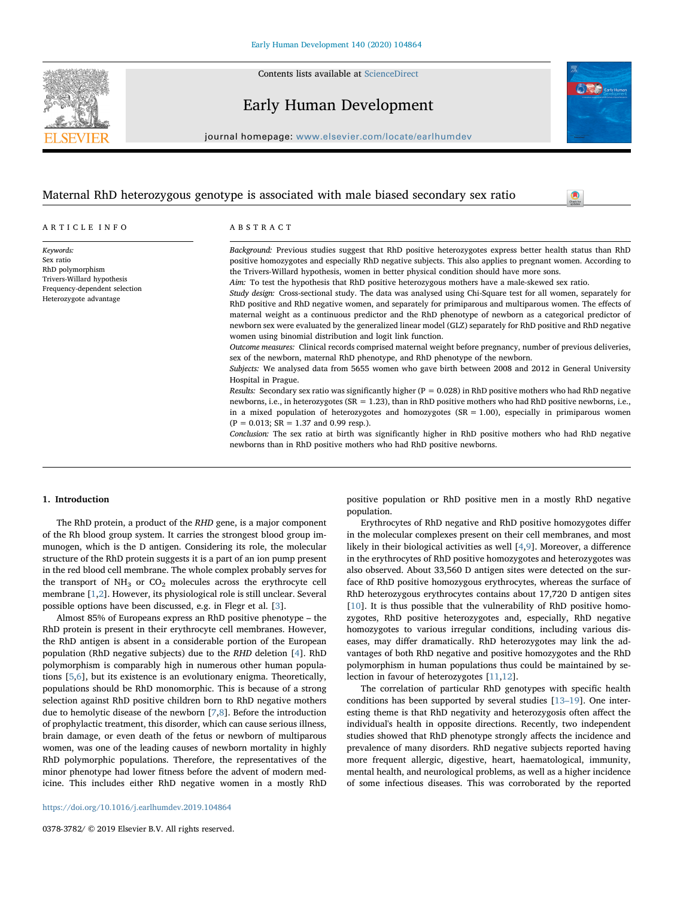Contents lists available at [ScienceDirect](http://www.sciencedirect.com/science/journal/03783782)



# Early Human Development

journal homepage: [www.elsevier.com/locate/earlhumdev](https://www.elsevier.com/locate/earlhumdev)

# Maternal RhD heterozygous genotype is associated with male biased secondary sex ratio

ARTICLE INFO

Keywords: Sex ratio RhD polymorphism Trivers-Willard hypothesis Frequency-dependent selection Heterozygote advantage

ABSTRACT

Background: Previous studies suggest that RhD positive heterozygotes express better health status than RhD positive homozygotes and especially RhD negative subjects. This also applies to pregnant women. According to the Trivers-Willard hypothesis, women in better physical condition should have more sons.

Aim: To test the hypothesis that RhD positive heterozygous mothers have a male-skewed sex ratio.

Study design: Cross-sectional study. The data was analysed using Chi-Square test for all women, separately for RhD positive and RhD negative women, and separately for primiparous and multiparous women. The effects of maternal weight as a continuous predictor and the RhD phenotype of newborn as a categorical predictor of newborn sex were evaluated by the generalized linear model (GLZ) separately for RhD positive and RhD negative women using binomial distribution and logit link function.

Outcome measures: Clinical records comprised maternal weight before pregnancy, number of previous deliveries, sex of the newborn, maternal RhD phenotype, and RhD phenotype of the newborn.

Subjects: We analysed data from 5655 women who gave birth between 2008 and 2012 in General University Hospital in Prague.

Results: Secondary sex ratio was significantly higher ( $P = 0.028$ ) in RhD positive mothers who had RhD negative newborns, i.e., in heterozygotes (SR = 1.23), than in RhD positive mothers who had RhD positive newborns, i.e., in a mixed population of heterozygotes and homozygotes  $(SR = 1.00)$ , especially in primiparous women  $(P = 0.013; SR = 1.37$  and 0.99 resp.).

Conclusion: The sex ratio at birth was significantly higher in RhD positive mothers who had RhD negative newborns than in RhD positive mothers who had RhD positive newborns.

#### <span id="page-0-0"></span>1. Introduction

The RhD protein, a product of the RHD gene, is a major component of the Rh blood group system. It carries the strongest blood group immunogen, which is the D antigen. Considering its role, the molecular structure of the RhD protein suggests it is a part of an ion pump present in the red blood cell membrane. The whole complex probably serves for the transport of  $NH_3$  or  $CO_2$  molecules across the erythrocyte cell membrane [\[1](#page-4-0)[,2\]](#page-4-1). However, its physiological role is still unclear. Several possible options have been discussed, e.g. in Flegr et al. [\[3\]](#page-4-2).

Almost 85% of Europeans express an RhD positive phenotype – the RhD protein is present in their erythrocyte cell membranes. However, the RhD antigen is absent in a considerable portion of the European population (RhD negative subjects) due to the RHD deletion [\[4\]](#page-4-3). RhD polymorphism is comparably high in numerous other human populations [[5](#page-4-4),[6](#page-4-5)], but its existence is an evolutionary enigma. Theoretically, populations should be RhD monomorphic. This is because of a strong selection against RhD positive children born to RhD negative mothers due to hemolytic disease of the newborn [[7,](#page-4-6)[8](#page-4-7)]. Before the introduction of prophylactic treatment, this disorder, which can cause serious illness, brain damage, or even death of the fetus or newborn of multiparous women, was one of the leading causes of newborn mortality in highly RhD polymorphic populations. Therefore, the representatives of the minor phenotype had lower fitness before the advent of modern medicine. This includes either RhD negative women in a mostly RhD

positive population or RhD positive men in a mostly RhD negative population.

 $\bullet$ 

Erythrocytes of RhD negative and RhD positive homozygotes differ in the molecular complexes present on their cell membranes, and most likely in their biological activities as well [\[4,](#page-4-3)[9\]](#page-4-8). Moreover, a difference in the erythrocytes of RhD positive homozygotes and heterozygotes was also observed. About 33,560 D antigen sites were detected on the surface of RhD positive homozygous erythrocytes, whereas the surface of RhD heterozygous erythrocytes contains about 17,720 D antigen sites [[10\]](#page-4-9). It is thus possible that the vulnerability of RhD positive homozygotes, RhD positive heterozygotes and, especially, RhD negative homozygotes to various irregular conditions, including various diseases, may differ dramatically. RhD heterozygotes may link the advantages of both RhD negative and positive homozygotes and the RhD polymorphism in human populations thus could be maintained by selection in favour of heterozygotes [[11,](#page-4-10)[12\]](#page-4-11).

The correlation of particular RhD genotypes with specific health conditions has been supported by several studies [\[13](#page-4-12)–19]. One interesting theme is that RhD negativity and heterozygosis often affect the individual's health in opposite directions. Recently, two independent studies showed that RhD phenotype strongly affects the incidence and prevalence of many disorders. RhD negative subjects reported having more frequent allergic, digestive, heart, haematological, immunity, mental health, and neurological problems, as well as a higher incidence of some infectious diseases. This was corroborated by the reported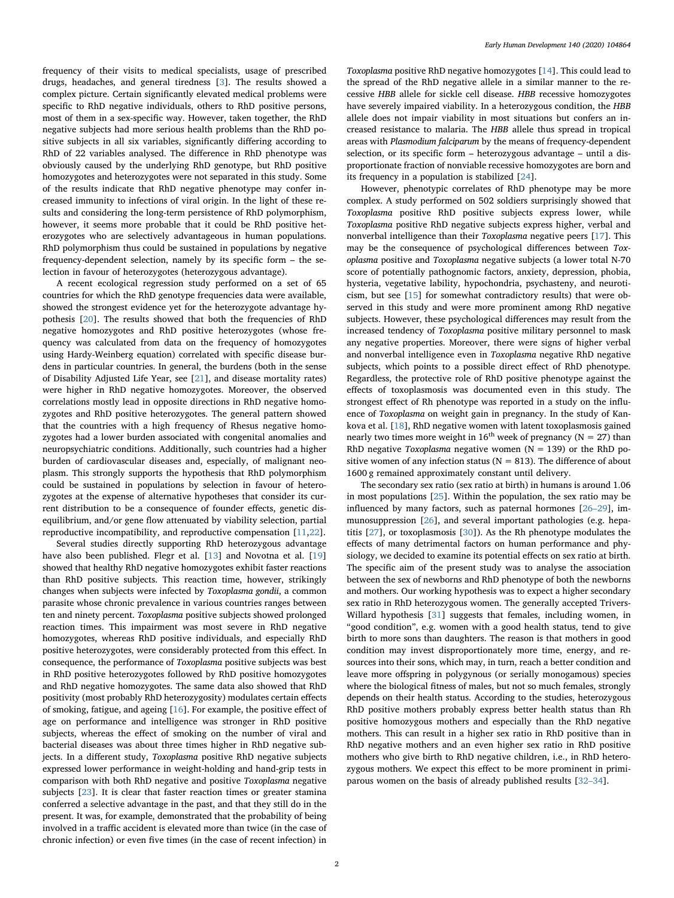frequency of their visits to medical specialists, usage of prescribed drugs, headaches, and general tiredness [[3](#page-4-2)]. The results showed a complex picture. Certain significantly elevated medical problems were specific to RhD negative individuals, others to RhD positive persons, most of them in a sex-specific way. However, taken together, the RhD negative subjects had more serious health problems than the RhD positive subjects in all six variables, significantly differing according to RhD of 22 variables analysed. The difference in RhD phenotype was obviously caused by the underlying RhD genotype, but RhD positive homozygotes and heterozygotes were not separated in this study. Some of the results indicate that RhD negative phenotype may confer increased immunity to infections of viral origin. In the light of these results and considering the long-term persistence of RhD polymorphism, however, it seems more probable that it could be RhD positive heterozygotes who are selectively advantageous in human populations. RhD polymorphism thus could be sustained in populations by negative frequency-dependent selection, namely by its specific form – the selection in favour of heterozygotes (heterozygous advantage).

A recent ecological regression study performed on a set of 65 countries for which the RhD genotype frequencies data were available, showed the strongest evidence yet for the heterozygote advantage hypothesis [\[20](#page-4-13)]. The results showed that both the frequencies of RhD negative homozygotes and RhD positive heterozygotes (whose frequency was calculated from data on the frequency of homozygotes using Hardy-Weinberg equation) correlated with specific disease burdens in particular countries. In general, the burdens (both in the sense of Disability Adjusted Life Year, see [[21\]](#page-4-14), and disease mortality rates) were higher in RhD negative homozygotes. Moreover, the observed correlations mostly lead in opposite directions in RhD negative homozygotes and RhD positive heterozygotes. The general pattern showed that the countries with a high frequency of Rhesus negative homozygotes had a lower burden associated with congenital anomalies and neuropsychiatric conditions. Additionally, such countries had a higher burden of cardiovascular diseases and, especially, of malignant neoplasm. This strongly supports the hypothesis that RhD polymorphism could be sustained in populations by selection in favour of heterozygotes at the expense of alternative hypotheses that consider its current distribution to be a consequence of founder effects, genetic disequilibrium, and/or gene flow attenuated by viability selection, partial reproductive incompatibility, and reproductive compensation [\[11](#page-4-10)[,22](#page-4-15)].

Several studies directly supporting RhD heterozygous advantage have also been published. Flegr et al. [[13\]](#page-4-12) and Novotna et al. [\[19](#page-4-16)] showed that healthy RhD negative homozygotes exhibit faster reactions than RhD positive subjects. This reaction time, however, strikingly changes when subjects were infected by Toxoplasma gondii, a common parasite whose chronic prevalence in various countries ranges between ten and ninety percent. Toxoplasma positive subjects showed prolonged reaction times. This impairment was most severe in RhD negative homozygotes, whereas RhD positive individuals, and especially RhD positive heterozygotes, were considerably protected from this effect. In consequence, the performance of Toxoplasma positive subjects was best in RhD positive heterozygotes followed by RhD positive homozygotes and RhD negative homozygotes. The same data also showed that RhD positivity (most probably RhD heterozygosity) modulates certain effects of smoking, fatigue, and ageing [\[16](#page-4-17)]. For example, the positive effect of age on performance and intelligence was stronger in RhD positive subjects, whereas the effect of smoking on the number of viral and bacterial diseases was about three times higher in RhD negative subjects. In a different study, Toxoplasma positive RhD negative subjects expressed lower performance in weight-holding and hand-grip tests in comparison with both RhD negative and positive Toxoplasma negative subjects [\[23](#page-4-18)]. It is clear that faster reaction times or greater stamina conferred a selective advantage in the past, and that they still do in the present. It was, for example, demonstrated that the probability of being involved in a traffic accident is elevated more than twice (in the case of chronic infection) or even five times (in the case of recent infection) in

Toxoplasma positive RhD negative homozygotes [\[14](#page-4-19)]. This could lead to the spread of the RhD negative allele in a similar manner to the recessive HBB allele for sickle cell disease. HBB recessive homozygotes have severely impaired viability. In a heterozygous condition, the HBB allele does not impair viability in most situations but confers an increased resistance to malaria. The HBB allele thus spread in tropical areas with Plasmodium falciparum by the means of frequency-dependent selection, or its specific form – heterozygous advantage – until a disproportionate fraction of nonviable recessive homozygotes are born and its frequency in a population is stabilized [\[24](#page-4-20)].

However, phenotypic correlates of RhD phenotype may be more complex. A study performed on 502 soldiers surprisingly showed that Toxoplasma positive RhD positive subjects express lower, while Toxoplasma positive RhD negative subjects express higher, verbal and nonverbal intelligence than their Toxoplasma negative peers [[17\]](#page-4-21). This may be the consequence of psychological differences between Toxoplasma positive and Toxoplasma negative subjects (a lower total N-70 score of potentially pathognomic factors, anxiety, depression, phobia, hysteria, vegetative lability, hypochondria, psychasteny, and neuroticism, but see [[15\]](#page-4-22) for somewhat contradictory results) that were observed in this study and were more prominent among RhD negative subjects. However, these psychological differences may result from the increased tendency of Toxoplasma positive military personnel to mask any negative properties. Moreover, there were signs of higher verbal and nonverbal intelligence even in Toxoplasma negative RhD negative subjects, which points to a possible direct effect of RhD phenotype. Regardless, the protective role of RhD positive phenotype against the effects of toxoplasmosis was documented even in this study. The strongest effect of Rh phenotype was reported in a study on the influence of Toxoplasma on weight gain in pregnancy. In the study of Kankova et al. [\[18](#page-4-23)], RhD negative women with latent toxoplasmosis gained nearly two times more weight in  $16^{th}$  week of pregnancy (N = 27) than RhD negative Toxoplasma negative women ( $N = 139$ ) or the RhD positive women of any infection status ( $N = 813$ ). The difference of about 1600 g remained approximately constant until delivery.

The secondary sex ratio (sex ratio at birth) in humans is around 1.06 in most populations [\[25](#page-4-24)]. Within the population, the sex ratio may be influenced by many factors, such as paternal hormones [26–[29\]](#page-4-25), immunosuppression [[26\]](#page-4-25), and several important pathologies (e.g. hepatitis [\[27](#page-4-26)], or toxoplasmosis [\[30](#page-4-27)]). As the Rh phenotype modulates the effects of many detrimental factors on human performance and physiology, we decided to examine its potential effects on sex ratio at birth. The specific aim of the present study was to analyse the association between the sex of newborns and RhD phenotype of both the newborns and mothers. Our working hypothesis was to expect a higher secondary sex ratio in RhD heterozygous women. The generally accepted Trivers-Willard hypothesis [[31\]](#page-4-28) suggests that females, including women, in "good condition", e.g. women with a good health status, tend to give birth to more sons than daughters. The reason is that mothers in good condition may invest disproportionately more time, energy, and resources into their sons, which may, in turn, reach a better condition and leave more offspring in polygynous (or serially monogamous) species where the biological fitness of males, but not so much females, strongly depends on their health status. According to the studies, heterozygous RhD positive mothers probably express better health status than Rh positive homozygous mothers and especially than the RhD negative mothers. This can result in a higher sex ratio in RhD positive than in RhD negative mothers and an even higher sex ratio in RhD positive mothers who give birth to RhD negative children, i.e., in RhD heterozygous mothers. We expect this effect to be more prominent in primiparous women on the basis of already published results [\[32](#page-4-29)–34].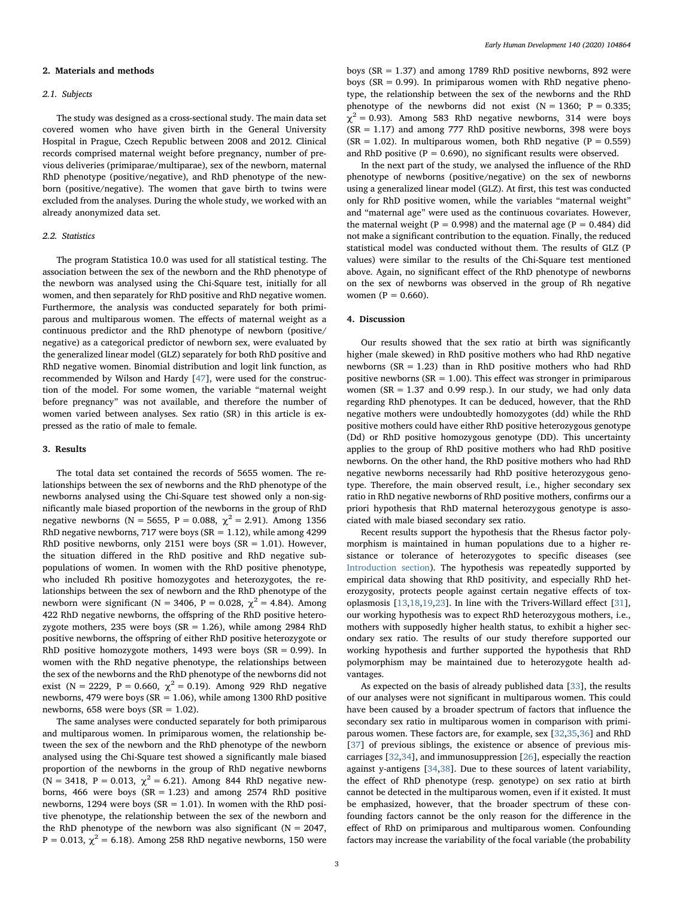#### 2. Materials and methods

#### 2.1. Subjects

The study was designed as a cross-sectional study. The main data set covered women who have given birth in the General University Hospital in Prague, Czech Republic between 2008 and 2012. Clinical records comprised maternal weight before pregnancy, number of previous deliveries (primiparae/multiparae), sex of the newborn, maternal RhD phenotype (positive/negative), and RhD phenotype of the newborn (positive/negative). The women that gave birth to twins were excluded from the analyses. During the whole study, we worked with an already anonymized data set.

# 2.2. Statistics

The program Statistica 10.0 was used for all statistical testing. The association between the sex of the newborn and the RhD phenotype of the newborn was analysed using the Chi-Square test, initially for all women, and then separately for RhD positive and RhD negative women. Furthermore, the analysis was conducted separately for both primiparous and multiparous women. The effects of maternal weight as a continuous predictor and the RhD phenotype of newborn (positive/ negative) as a categorical predictor of newborn sex, were evaluated by the generalized linear model (GLZ) separately for both RhD positive and RhD negative women. Binomial distribution and logit link function, as recommended by Wilson and Hardy [[47\]](#page-4-30), were used for the construction of the model. For some women, the variable "maternal weight before pregnancy" was not available, and therefore the number of women varied between analyses. Sex ratio (SR) in this article is expressed as the ratio of male to female.

#### 3. Results

The total data set contained the records of 5655 women. The relationships between the sex of newborns and the RhD phenotype of the newborns analysed using the Chi-Square test showed only a non-significantly male biased proportion of the newborns in the group of RhD negative newborns (N = 5655, P = 0.088,  $\chi^2$  = 2.91). Among 1356 RhD negative newborns, 717 were boys ( $SR = 1.12$ ), while among 4299 RhD positive newborns, only 2151 were boys  $(SR = 1.01)$ . However, the situation differed in the RhD positive and RhD negative subpopulations of women. In women with the RhD positive phenotype, who included Rh positive homozygotes and heterozygotes, the relationships between the sex of newborn and the RhD phenotype of the newborn were significant (N = 3406, P = 0.028,  $\chi^2$  = 4.84). Among 422 RhD negative newborns, the offspring of the RhD positive heterozygote mothers, 235 were boys ( $SR = 1.26$ ), while among 2984 RhD positive newborns, the offspring of either RhD positive heterozygote or RhD positive homozygote mothers, 1493 were boys ( $SR = 0.99$ ). In women with the RhD negative phenotype, the relationships between the sex of the newborns and the RhD phenotype of the newborns did not exist (N = 2229, P = 0.660,  $\chi^2$  = 0.19). Among 929 RhD negative newborns, 479 were boys (SR = 1.06), while among 1300 RhD positive newborns, 658 were boys  $(SR = 1.02)$ .

The same analyses were conducted separately for both primiparous and multiparous women. In primiparous women, the relationship between the sex of the newborn and the RhD phenotype of the newborn analysed using the Chi-Square test showed a significantly male biased proportion of the newborns in the group of RhD negative newborns (N = 3418, P = 0.013,  $\chi^2$  = 6.21). Among 844 RhD negative newborns, 466 were boys  $(SR = 1.23)$  and among 2574 RhD positive newborns, 1294 were boys ( $SR = 1.01$ ). In women with the RhD positive phenotype, the relationship between the sex of the newborn and the RhD phenotype of the newborn was also significant ( $N = 2047$ , P = 0.013,  $\chi^2$  = 6.18). Among 258 RhD negative newborns, 150 were

boys (SR = 1.37) and among 1789 RhD positive newborns, 892 were boys ( $SR = 0.99$ ). In primiparous women with RhD negative phenotype, the relationship between the sex of the newborns and the RhD phenotype of the newborns did not exist  $(N = 1360; P = 0.335;$  $\chi^2$  = 0.93). Among 583 RhD negative newborns, 314 were boys  $(SR = 1.17)$  and among 777 RhD positive newborns, 398 were boys  $(SR = 1.02)$ . In multiparous women, both RhD negative (P = 0.559) and RhD positive ( $P = 0.690$ ), no significant results were observed.

In the next part of the study, we analysed the influence of the RhD phenotype of newborns (positive/negative) on the sex of newborns using a generalized linear model (GLZ). At first, this test was conducted only for RhD positive women, while the variables "maternal weight" and "maternal age" were used as the continuous covariates. However, the maternal weight ( $P = 0.998$ ) and the maternal age ( $P = 0.484$ ) did not make a significant contribution to the equation. Finally, the reduced statistical model was conducted without them. The results of GLZ (P values) were similar to the results of the Chi-Square test mentioned above. Again, no significant effect of the RhD phenotype of newborns on the sex of newborns was observed in the group of Rh negative women ( $P = 0.660$ ).

#### 4. Discussion

Our results showed that the sex ratio at birth was significantly higher (male skewed) in RhD positive mothers who had RhD negative newborns ( $SR = 1.23$ ) than in RhD positive mothers who had RhD positive newborns ( $SR = 1.00$ ). This effect was stronger in primiparous women ( $SR = 1.37$  and 0.99 resp.). In our study, we had only data regarding RhD phenotypes. It can be deduced, however, that the RhD negative mothers were undoubtedly homozygotes (dd) while the RhD positive mothers could have either RhD positive heterozygous genotype (Dd) or RhD positive homozygous genotype (DD). This uncertainty applies to the group of RhD positive mothers who had RhD positive newborns. On the other hand, the RhD positive mothers who had RhD negative newborns necessarily had RhD positive heterozygous genotype. Therefore, the main observed result, i.e., higher secondary sex ratio in RhD negative newborns of RhD positive mothers, confirms our a priori hypothesis that RhD maternal heterozygous genotype is associated with male biased secondary sex ratio.

Recent results support the hypothesis that the Rhesus factor polymorphism is maintained in human populations due to a higher resistance or tolerance of heterozygotes to specific diseases (see [Introduction section\)](#page-0-0). The hypothesis was repeatedly supported by empirical data showing that RhD positivity, and especially RhD heterozygosity, protects people against certain negative effects of toxoplasmosis [\[13](#page-4-12)[,18](#page-4-23)[,19](#page-4-16),[23\]](#page-4-18). In line with the Trivers-Willard effect [\[31](#page-4-28)], our working hypothesis was to expect RhD heterozygous mothers, i.e., mothers with supposedly higher health status, to exhibit a higher secondary sex ratio. The results of our study therefore supported our working hypothesis and further supported the hypothesis that RhD polymorphism may be maintained due to heterozygote health advantages.

As expected on the basis of already published data [\[33](#page-4-31)], the results of our analyses were not significant in multiparous women. This could have been caused by a broader spectrum of factors that influence the secondary sex ratio in multiparous women in comparison with primiparous women. These factors are, for example, sex [\[32](#page-4-29)[,35](#page-4-32)[,36](#page-4-33)] and RhD [[37\]](#page-4-34) of previous siblings, the existence or absence of previous miscarriages [[32,](#page-4-29)[34\]](#page-4-35), and immunosuppression [[26\]](#page-4-25), especially the reaction against y-antigens [[34,](#page-4-35)[38](#page-4-36)]. Due to these sources of latent variability, the effect of RhD phenotype (resp. genotype) on sex ratio at birth cannot be detected in the multiparous women, even if it existed. It must be emphasized, however, that the broader spectrum of these confounding factors cannot be the only reason for the difference in the effect of RhD on primiparous and multiparous women. Confounding factors may increase the variability of the focal variable (the probability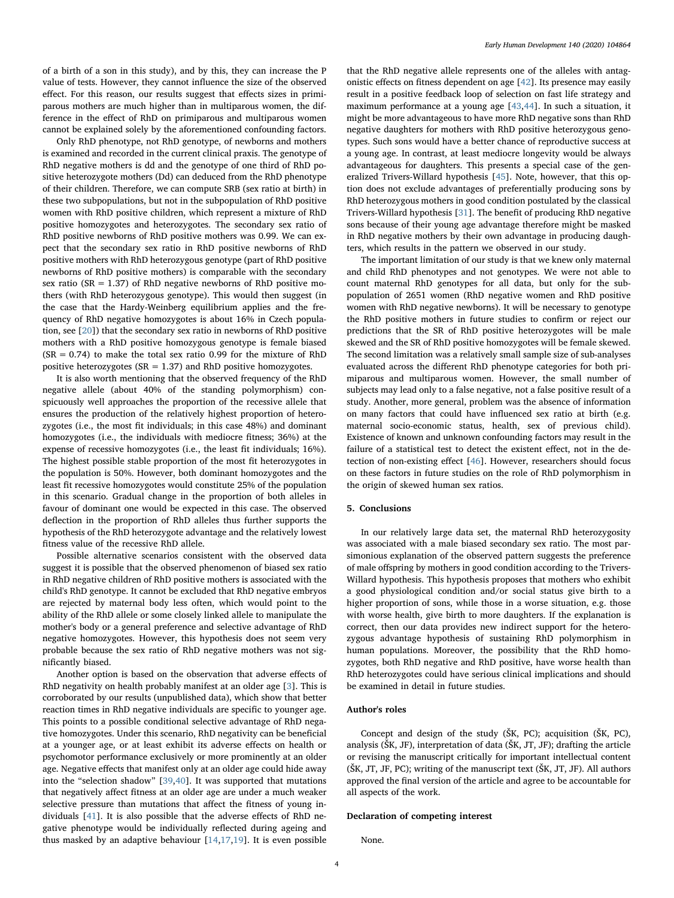of a birth of a son in this study), and by this, they can increase the P value of tests. However, they cannot influence the size of the observed effect. For this reason, our results suggest that effects sizes in primiparous mothers are much higher than in multiparous women, the difference in the effect of RhD on primiparous and multiparous women cannot be explained solely by the aforementioned confounding factors.

Only RhD phenotype, not RhD genotype, of newborns and mothers is examined and recorded in the current clinical praxis. The genotype of RhD negative mothers is dd and the genotype of one third of RhD positive heterozygote mothers (Dd) can deduced from the RhD phenotype of their children. Therefore, we can compute SRB (sex ratio at birth) in these two subpopulations, but not in the subpopulation of RhD positive women with RhD positive children, which represent a mixture of RhD positive homozygotes and heterozygotes. The secondary sex ratio of RhD positive newborns of RhD positive mothers was 0.99. We can expect that the secondary sex ratio in RhD positive newborns of RhD positive mothers with RhD heterozygous genotype (part of RhD positive newborns of RhD positive mothers) is comparable with the secondary sex ratio ( $SR = 1.37$ ) of RhD negative newborns of RhD positive mothers (with RhD heterozygous genotype). This would then suggest (in the case that the Hardy-Weinberg equilibrium applies and the frequency of RhD negative homozygotes is about 16% in Czech population, see [\[20](#page-4-13)]) that the secondary sex ratio in newborns of RhD positive mothers with a RhD positive homozygous genotype is female biased  $(SR = 0.74)$  to make the total sex ratio 0.99 for the mixture of RhD positive heterozygotes (SR = 1.37) and RhD positive homozygotes.

It is also worth mentioning that the observed frequency of the RhD negative allele (about 40% of the standing polymorphism) conspicuously well approaches the proportion of the recessive allele that ensures the production of the relatively highest proportion of heterozygotes (i.e., the most fit individuals; in this case 48%) and dominant homozygotes (i.e., the individuals with mediocre fitness; 36%) at the expense of recessive homozygotes (i.e., the least fit individuals; 16%). The highest possible stable proportion of the most fit heterozygotes in the population is 50%. However, both dominant homozygotes and the least fit recessive homozygotes would constitute 25% of the population in this scenario. Gradual change in the proportion of both alleles in favour of dominant one would be expected in this case. The observed deflection in the proportion of RhD alleles thus further supports the hypothesis of the RhD heterozygote advantage and the relatively lowest fitness value of the recessive RhD allele.

Possible alternative scenarios consistent with the observed data suggest it is possible that the observed phenomenon of biased sex ratio in RhD negative children of RhD positive mothers is associated with the child's RhD genotype. It cannot be excluded that RhD negative embryos are rejected by maternal body less often, which would point to the ability of the RhD allele or some closely linked allele to manipulate the mother's body or a general preference and selective advantage of RhD negative homozygotes. However, this hypothesis does not seem very probable because the sex ratio of RhD negative mothers was not significantly biased.

Another option is based on the observation that adverse effects of RhD negativity on health probably manifest at an older age [\[3\]](#page-4-2). This is corroborated by our results (unpublished data), which show that better reaction times in RhD negative individuals are specific to younger age. This points to a possible conditional selective advantage of RhD negative homozygotes. Under this scenario, RhD negativity can be beneficial at a younger age, or at least exhibit its adverse effects on health or psychomotor performance exclusively or more prominently at an older age. Negative effects that manifest only at an older age could hide away into the "selection shadow" [[39,](#page-4-37)[40](#page-4-38)]. It was supported that mutations that negatively affect fitness at an older age are under a much weaker selective pressure than mutations that affect the fitness of young individuals [\[41](#page-4-39)]. It is also possible that the adverse effects of RhD negative phenotype would be individually reflected during ageing and thus masked by an adaptive behaviour [[14,](#page-4-19)[17](#page-4-21)[,19](#page-4-16)]. It is even possible

that the RhD negative allele represents one of the alleles with antagonistic effects on fitness dependent on age [\[42](#page-4-40)]. Its presence may easily result in a positive feedback loop of selection on fast life strategy and maximum performance at a young age [[43](#page-4-41)[,44](#page-4-42)]. In such a situation, it might be more advantageous to have more RhD negative sons than RhD negative daughters for mothers with RhD positive heterozygous genotypes. Such sons would have a better chance of reproductive success at a young age. In contrast, at least mediocre longevity would be always advantageous for daughters. This presents a special case of the generalized Trivers-Willard hypothesis [\[45](#page-4-43)]. Note, however, that this option does not exclude advantages of preferentially producing sons by RhD heterozygous mothers in good condition postulated by the classical Trivers-Willard hypothesis [\[31](#page-4-28)]. The benefit of producing RhD negative sons because of their young age advantage therefore might be masked in RhD negative mothers by their own advantage in producing daughters, which results in the pattern we observed in our study.

The important limitation of our study is that we knew only maternal and child RhD phenotypes and not genotypes. We were not able to count maternal RhD genotypes for all data, but only for the subpopulation of 2651 women (RhD negative women and RhD positive women with RhD negative newborns). It will be necessary to genotype the RhD positive mothers in future studies to confirm or reject our predictions that the SR of RhD positive heterozygotes will be male skewed and the SR of RhD positive homozygotes will be female skewed. The second limitation was a relatively small sample size of sub-analyses evaluated across the different RhD phenotype categories for both primiparous and multiparous women. However, the small number of subjects may lead only to a false negative, not a false positive result of a study. Another, more general, problem was the absence of information on many factors that could have influenced sex ratio at birth (e.g. maternal socio-economic status, health, sex of previous child). Existence of known and unknown confounding factors may result in the failure of a statistical test to detect the existent effect, not in the detection of non-existing effect [[46\]](#page-4-44). However, researchers should focus on these factors in future studies on the role of RhD polymorphism in the origin of skewed human sex ratios.

# 5. Conclusions

In our relatively large data set, the maternal RhD heterozygosity was associated with a male biased secondary sex ratio. The most parsimonious explanation of the observed pattern suggests the preference of male offspring by mothers in good condition according to the Trivers-Willard hypothesis. This hypothesis proposes that mothers who exhibit a good physiological condition and/or social status give birth to a higher proportion of sons, while those in a worse situation, e.g. those with worse health, give birth to more daughters. If the explanation is correct, then our data provides new indirect support for the heterozygous advantage hypothesis of sustaining RhD polymorphism in human populations. Moreover, the possibility that the RhD homozygotes, both RhD negative and RhD positive, have worse health than RhD heterozygotes could have serious clinical implications and should be examined in detail in future studies.

# Author's roles

Concept and design of the study (ŠK, PC); acquisition (ŠK, PC), analysis (ŠK, JF), interpretation of data (ŠK, JT, JF); drafting the article or revising the manuscript critically for important intellectual content (ŠK, JT, JF, PC); writing of the manuscript text (ŠK, JT, JF). All authors approved the final version of the article and agree to be accountable for all aspects of the work.

#### Declaration of competing interest

None.